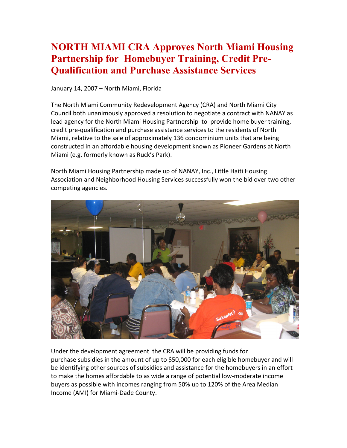## **NORTH MIAMI CRA Approves North Miami Housing Partnership for Homebuyer Training, Credit Pre-Qualification and Purchase Assistance Services**

January 14, 2007 – North Miami, Florida

The North Miami Community Redevelopment Agency (CRA) and North Miami City Council both unanimously approved a resolution to negotiate a contract with NANAY as lead agency for the North Miami Housing Partnership to provide home buyer training, credit pre-qualification and purchase assistance services to the residents of North Miami, relative to the sale of approximately 136 condominium units that are being constructed in an affordable housing development known as Pioneer Gardens at North Miami (e.g. formerly known as Ruck's Park).

North Miami Housing Partnership made up of NANAY, Inc., Little Haiti Housing Association and Neighborhood Housing Services successfully won the bid over two other competing agencies.



Under the development agreement the CRA will be providing funds for purchase subsidies in the amount of up to \$50,000 for each eligible homebuyer and will be identifying other sources of subsidies and assistance for the homebuyers in an effort to make the homes affordable to as wide a range of potential low-moderate income buyers as possible with incomes ranging from 50% up to 120% of the Area Median Income (AMI) for Miami-Dade County.